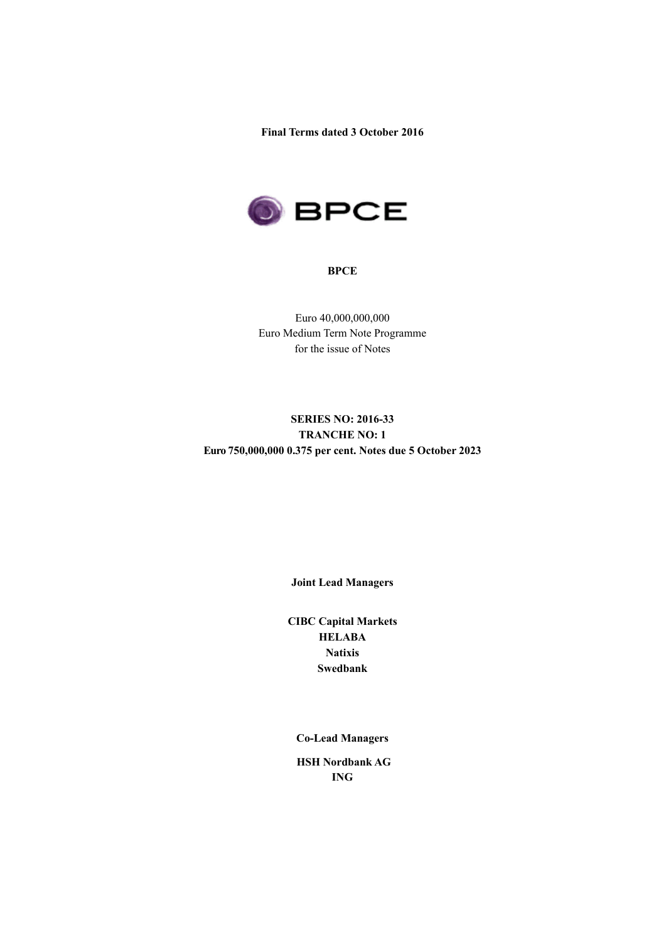**Final Terms dated 3 October 2016**



#### **BPCE**

Euro 40,000,000,000 Euro Medium Term Note Programme for the issue of Notes

## **SERIES NO: 2016-33 TRANCHE NO: 1 Euro 750,000,000 0.375 per cent. Notes due 5 October 2023**

**Joint Lead Managers**

**CIBC Capital Markets HELABA Natixis Swedbank**

**Co-Lead Managers**

**HSH Nordbank AG ING**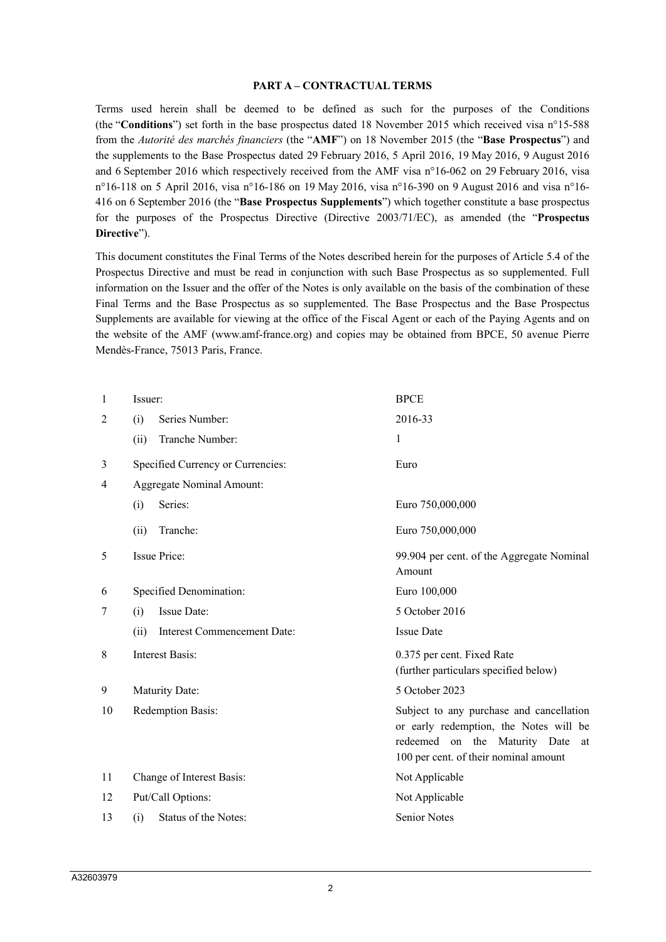#### **PART A – CONTRACTUAL TERMS**

Terms used herein shall be deemed to be defined as such for the purposes of the Conditions (the "**Conditions**") set forth in the base prospectus dated 18 November 2015 which received visa n°15-588 from the *Autorité des marchés financiers* (the "**AMF**") on 18 November 2015 (the "**Base Prospectus**") and the supplements to the Base Prospectus dated 29 February 2016, 5 April 2016, 19 May 2016, 9 August 2016 and 6 September 2016 which respectively received from the AMF visa n°16-062 on 29 February 2016, visa n°16-118 on 5 April 2016, visa n°16-186 on 19 May 2016, visa n°16-390 on 9 August 2016 and visa n°16- 416 on 6 September 2016 (the "**Base Prospectus Supplements**") which together constitute a base prospectus for the purposes of the Prospectus Directive (Directive 2003/71/EC), as amended (the "**Prospectus Directive**").

This document constitutes the Final Terms of the Notes described herein for the purposes of Article 5.4 of the Prospectus Directive and must be read in conjunction with such Base Prospectus as so supplemented. Full information on the Issuer and the offer of the Notes is only available on the basis of the combination of these Final Terms and the Base Prospectus as so supplemented. The Base Prospectus and the Base Prospectus Supplements are available for viewing at the office of the Fiscal Agent or each of the Paying Agents and on the website of the AMF (www.amf-france.org) and copies may be obtained from BPCE, 50 avenue Pierre Mendès-France, 75013 Paris, France.

| 1              | Issuer:                             | <b>BPCE</b>                                                                                                                                                        |
|----------------|-------------------------------------|--------------------------------------------------------------------------------------------------------------------------------------------------------------------|
| $\overline{2}$ | Series Number:<br>(i)               | 2016-33                                                                                                                                                            |
|                | Tranche Number:<br>(ii)             | 1                                                                                                                                                                  |
| 3              | Specified Currency or Currencies:   | Euro                                                                                                                                                               |
| 4              | <b>Aggregate Nominal Amount:</b>    |                                                                                                                                                                    |
|                | Series:<br>(i)                      | Euro 750,000,000                                                                                                                                                   |
|                | Tranche:<br>(ii)                    | Euro 750,000,000                                                                                                                                                   |
| 5              | Issue Price:                        | 99.904 per cent. of the Aggregate Nominal<br>Amount                                                                                                                |
| 6              | Specified Denomination:             | Euro 100,000                                                                                                                                                       |
| 7              | <b>Issue Date:</b><br>(i)           | 5 October 2016                                                                                                                                                     |
|                | Interest Commencement Date:<br>(ii) | <b>Issue Date</b>                                                                                                                                                  |
| 8              | <b>Interest Basis:</b>              | 0.375 per cent. Fixed Rate<br>(further particulars specified below)                                                                                                |
| 9              | Maturity Date:                      | 5 October 2023                                                                                                                                                     |
| 10             | Redemption Basis:                   | Subject to any purchase and cancellation<br>or early redemption, the Notes will be<br>redeemed on the Maturity Date<br>at<br>100 per cent. of their nominal amount |
| 11             | Change of Interest Basis:           | Not Applicable                                                                                                                                                     |
| 12             | Put/Call Options:                   | Not Applicable                                                                                                                                                     |
| 13             | Status of the Notes:<br>(i)         | <b>Senior Notes</b>                                                                                                                                                |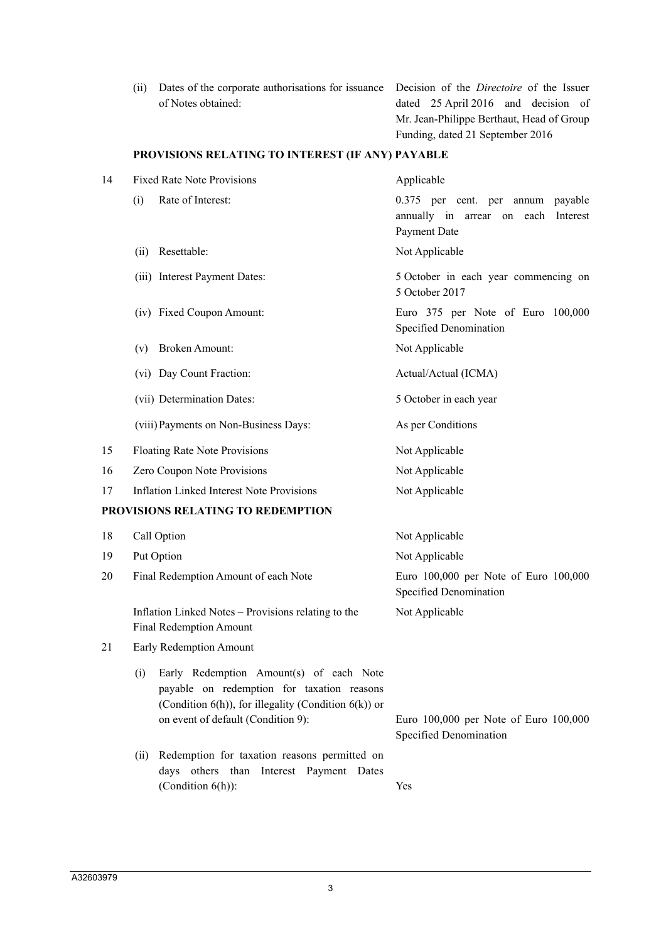| (ii) | Dates of the corporate authorisations for issuance |  |
|------|----------------------------------------------------|--|
|      | of Notes obtained:                                 |  |

Decision of the *Directoire* of the Issuer dated 25 April 2016 and decision of Mr. Jean-Philippe Berthaut, Head of Group Funding, dated 21 September 2016

## **PROVISIONS RELATING TO INTEREST (IF ANY) PAYABLE**

| 14 | <b>Fixed Rate Note Provisions</b>                                                                                                                       | Applicable                                                                                     |  |  |
|----|---------------------------------------------------------------------------------------------------------------------------------------------------------|------------------------------------------------------------------------------------------------|--|--|
|    | Rate of Interest:<br>(i)                                                                                                                                | 0.375 per cent. per annum<br>payable<br>annually in arrear on each<br>Interest<br>Payment Date |  |  |
|    | Resettable:<br>(ii)                                                                                                                                     | Not Applicable                                                                                 |  |  |
|    | (iii) Interest Payment Dates:                                                                                                                           | 5 October in each year commencing on<br>5 October 2017                                         |  |  |
|    | (iv) Fixed Coupon Amount:                                                                                                                               | Euro 375 per Note of Euro 100,000<br>Specified Denomination                                    |  |  |
|    | <b>Broken Amount:</b><br>(v)                                                                                                                            | Not Applicable                                                                                 |  |  |
|    | (vi) Day Count Fraction:                                                                                                                                | Actual/Actual (ICMA)                                                                           |  |  |
|    | (vii) Determination Dates:                                                                                                                              | 5 October in each year                                                                         |  |  |
|    | (viii) Payments on Non-Business Days:                                                                                                                   | As per Conditions                                                                              |  |  |
| 15 | <b>Floating Rate Note Provisions</b>                                                                                                                    | Not Applicable                                                                                 |  |  |
| 16 | Zero Coupon Note Provisions                                                                                                                             | Not Applicable                                                                                 |  |  |
| 17 | <b>Inflation Linked Interest Note Provisions</b>                                                                                                        | Not Applicable                                                                                 |  |  |
|    | PROVISIONS RELATING TO REDEMPTION                                                                                                                       |                                                                                                |  |  |
| 18 | Call Option                                                                                                                                             | Not Applicable                                                                                 |  |  |
| 19 | Put Option                                                                                                                                              | Not Applicable                                                                                 |  |  |
| 20 | Final Redemption Amount of each Note                                                                                                                    | Euro 100,000 per Note of Euro 100,000<br>Specified Denomination                                |  |  |
|    | Inflation Linked Notes - Provisions relating to the<br><b>Final Redemption Amount</b>                                                                   | Not Applicable                                                                                 |  |  |
| 21 | Early Redemption Amount                                                                                                                                 |                                                                                                |  |  |
|    | (i) Early Redemption Amount(s) of each Note<br>payable on redemption for taxation reasons<br>(Condition $6(h)$ ), for illegality (Condition $6(k)$ ) or |                                                                                                |  |  |
|    | on event of default (Condition 9):                                                                                                                      | Euro 100,000 per Note of Euro 100,000<br>Specified Denomination                                |  |  |
|    | Redemption for taxation reasons permitted on<br>(ii)<br>days others than Interest Payment Dates                                                         |                                                                                                |  |  |
|    | (Condition $6(h)$ ):                                                                                                                                    | Yes                                                                                            |  |  |
|    |                                                                                                                                                         |                                                                                                |  |  |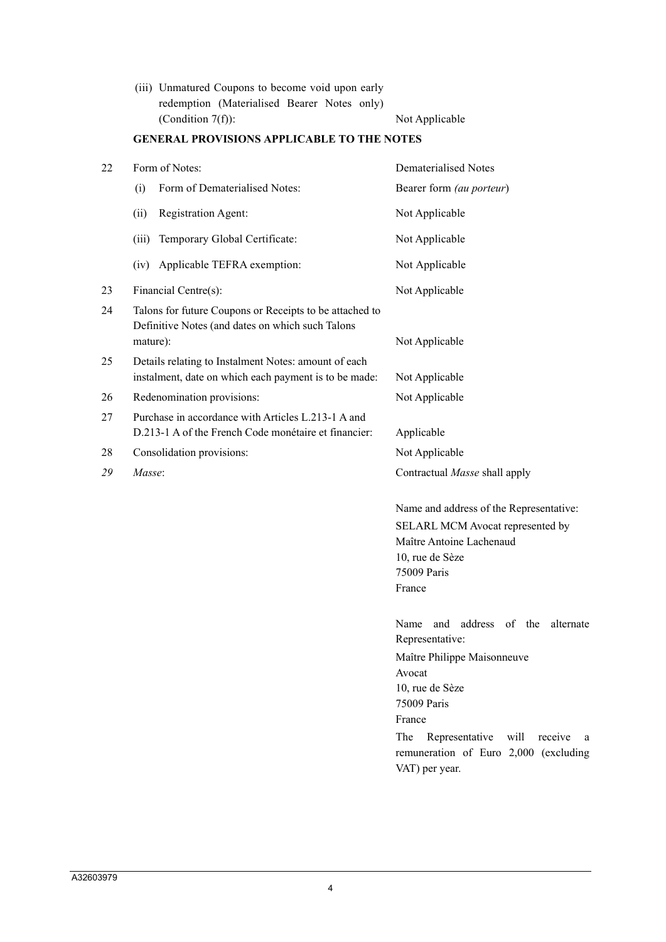(iii) Unmatured Coupons to become void upon early redemption (Materialised Bearer Notes only) (Condition 7(f)): Not Applicable

# **GENERAL PROVISIONS APPLICABLE TO THE NOTES**

|                                                                                                                         | <b>Dematerialised Notes</b>                                                                                                                                                                                                                                          |
|-------------------------------------------------------------------------------------------------------------------------|----------------------------------------------------------------------------------------------------------------------------------------------------------------------------------------------------------------------------------------------------------------------|
| Form of Dematerialised Notes:<br>(i)                                                                                    | Bearer form (au porteur)                                                                                                                                                                                                                                             |
| Registration Agent:<br>(ii)                                                                                             | Not Applicable                                                                                                                                                                                                                                                       |
| Temporary Global Certificate:<br>(iii)                                                                                  | Not Applicable                                                                                                                                                                                                                                                       |
| Applicable TEFRA exemption:<br>(iv)                                                                                     | Not Applicable                                                                                                                                                                                                                                                       |
| Financial Centre(s):                                                                                                    | Not Applicable                                                                                                                                                                                                                                                       |
| Talons for future Coupons or Receipts to be attached to<br>Definitive Notes (and dates on which such Talons<br>mature): | Not Applicable                                                                                                                                                                                                                                                       |
| Details relating to Instalment Notes: amount of each<br>instalment, date on which each payment is to be made:           | Not Applicable                                                                                                                                                                                                                                                       |
| Redenomination provisions:                                                                                              | Not Applicable                                                                                                                                                                                                                                                       |
| Purchase in accordance with Articles L.213-1 A and<br>D.213-1 A of the French Code monétaire et financier:              | Applicable                                                                                                                                                                                                                                                           |
| Consolidation provisions:                                                                                               | Not Applicable                                                                                                                                                                                                                                                       |
| Masse:                                                                                                                  | Contractual Masse shall apply                                                                                                                                                                                                                                        |
|                                                                                                                         | Name and address of the Representative:<br>SELARL MCM Avocat represented by<br>Maître Antoine Lachenaud<br>10, rue de Sèze<br>75009 Paris<br>France                                                                                                                  |
|                                                                                                                         | address<br>Name<br>and<br>of<br>the<br>alternate<br>Representative:<br>Maître Philippe Maisonneuve<br>Avocat<br>10, rue de Sèze<br>75009 Paris<br>France<br>Representative<br>The<br>will<br>receive<br>a<br>remuneration of Euro 2,000 (excluding<br>VAT) per year. |
|                                                                                                                         | Form of Notes:                                                                                                                                                                                                                                                       |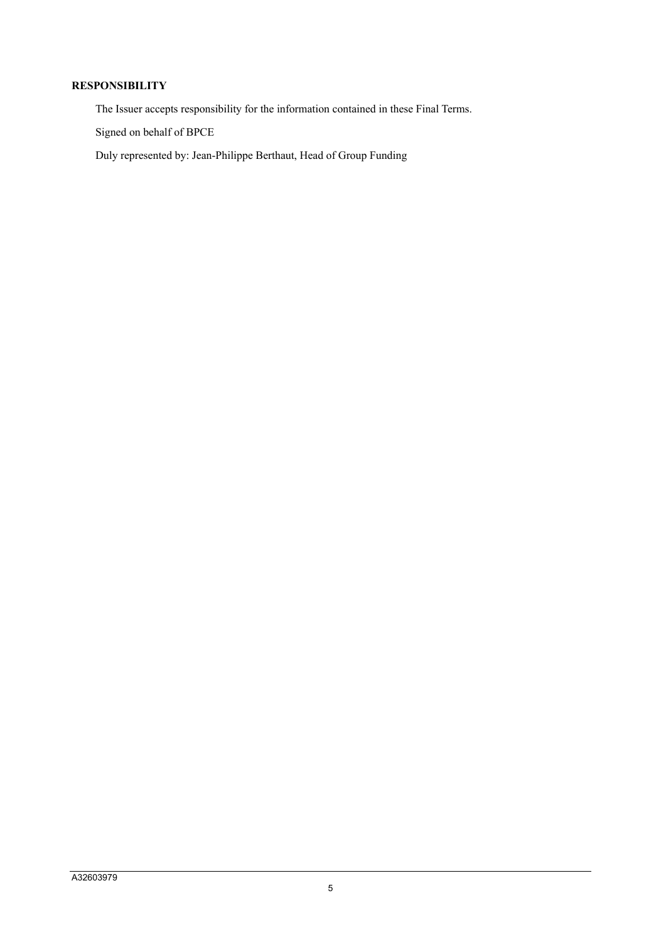## **RESPONSIBILITY**

The Issuer accepts responsibility for the information contained in these Final Terms.

Signed on behalf of BPCE

Duly represented by: Jean-Philippe Berthaut, Head of Group Funding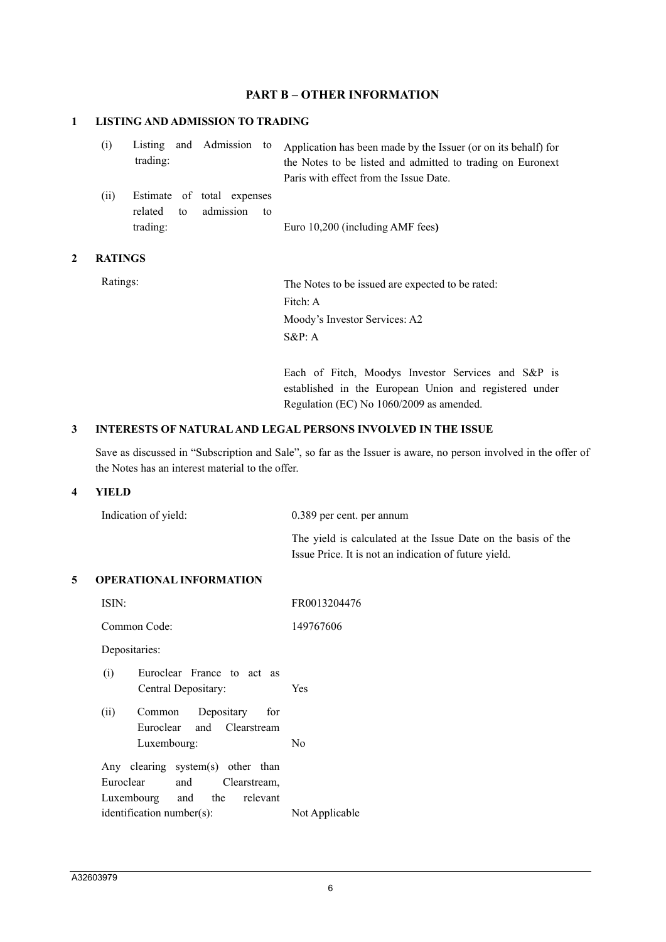## **PART B – OTHER INFORMATION**

## **1 LISTING AND ADMISSION TO TRADING**

| (i) |          |  | Listing and Admission to Application has been made by the Issuer (or on its behalf) for |  |
|-----|----------|--|-----------------------------------------------------------------------------------------|--|
|     | trading: |  | the Notes to be listed and admitted to trading on Euronext                              |  |
|     |          |  | Paris with effect from the Issue Date.                                                  |  |

(ii) Estimate of total expenses related to admission to trading: Euro 10,200 (including AMF fees**)**

### **2 RATINGS**

Ratings: The Notes to be issued are expected to be rated: Fitch: A Moody's Investor Services: A2 S&P: A

> Each of Fitch, Moodys Investor Services and S&P is established in the European Union and registered under Regulation (EC) No 1060/2009 as amended.

### **3 INTERESTS OF NATURAL AND LEGAL PERSONS INVOLVED IN THE ISSUE**

Save as discussed in "Subscription and Sale", so far as the Issuer is aware, no person involved in the offer of the Notes has an interest material to the offer.

### **4 YIELD**

| Indication of yield: | 0.389 per cent. per annum                                     |
|----------------------|---------------------------------------------------------------|
|                      | The yield is calculated at the Issue Date on the basis of the |
|                      | Issue Price. It is not an indication of future yield.         |

#### **5 OPERATIONAL INFORMATION**

| FR0013204476   |  |  |  |
|----------------|--|--|--|
| 149767606      |  |  |  |
| Depositaries:  |  |  |  |
| Yes            |  |  |  |
| No             |  |  |  |
| Not Applicable |  |  |  |
|                |  |  |  |